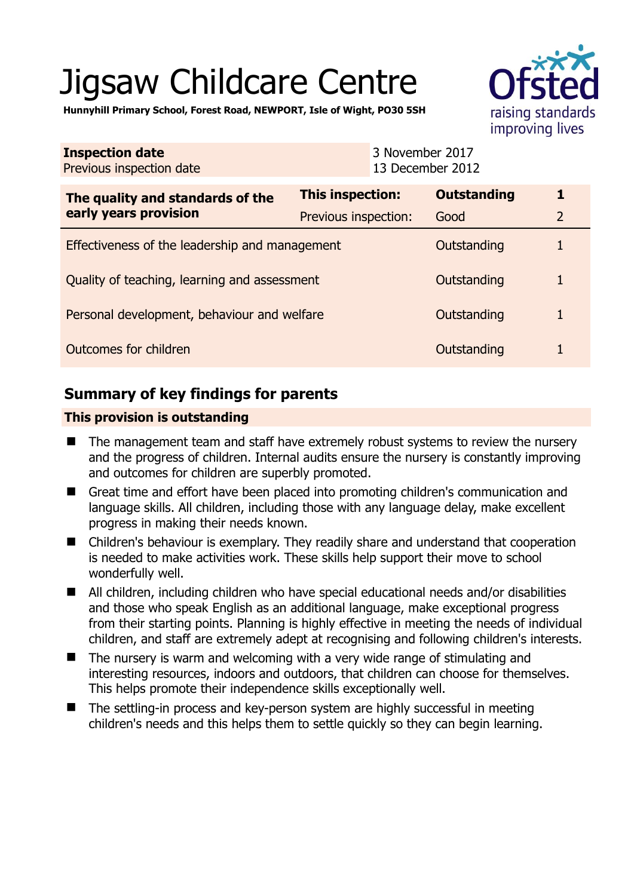# Jigsaw Childcare Centre





| <b>Inspection date</b><br>Previous inspection date        |                      | 3 November 2017<br>13 December 2012 |                    |                |
|-----------------------------------------------------------|----------------------|-------------------------------------|--------------------|----------------|
| The quality and standards of the<br>early years provision | This inspection:     |                                     | <b>Outstanding</b> |                |
|                                                           | Previous inspection: |                                     | Good               | $\overline{2}$ |
| Effectiveness of the leadership and management            |                      |                                     | Outstanding        |                |
| Quality of teaching, learning and assessment              |                      |                                     | Outstanding        |                |
| Personal development, behaviour and welfare               |                      |                                     | Outstanding        |                |
| Outcomes for children                                     |                      |                                     | Outstanding        |                |

# **Summary of key findings for parents**

## **This provision is outstanding**

- The management team and staff have extremely robust systems to review the nursery and the progress of children. Internal audits ensure the nursery is constantly improving and outcomes for children are superbly promoted.
- Great time and effort have been placed into promoting children's communication and language skills. All children, including those with any language delay, make excellent progress in making their needs known.
- Children's behaviour is exemplary. They readily share and understand that cooperation is needed to make activities work. These skills help support their move to school wonderfully well.
- All children, including children who have special educational needs and/or disabilities and those who speak English as an additional language, make exceptional progress from their starting points. Planning is highly effective in meeting the needs of individual children, and staff are extremely adept at recognising and following children's interests.
- The nursery is warm and welcoming with a very wide range of stimulating and interesting resources, indoors and outdoors, that children can choose for themselves. This helps promote their independence skills exceptionally well.
- The settling-in process and key-person system are highly successful in meeting children's needs and this helps them to settle quickly so they can begin learning.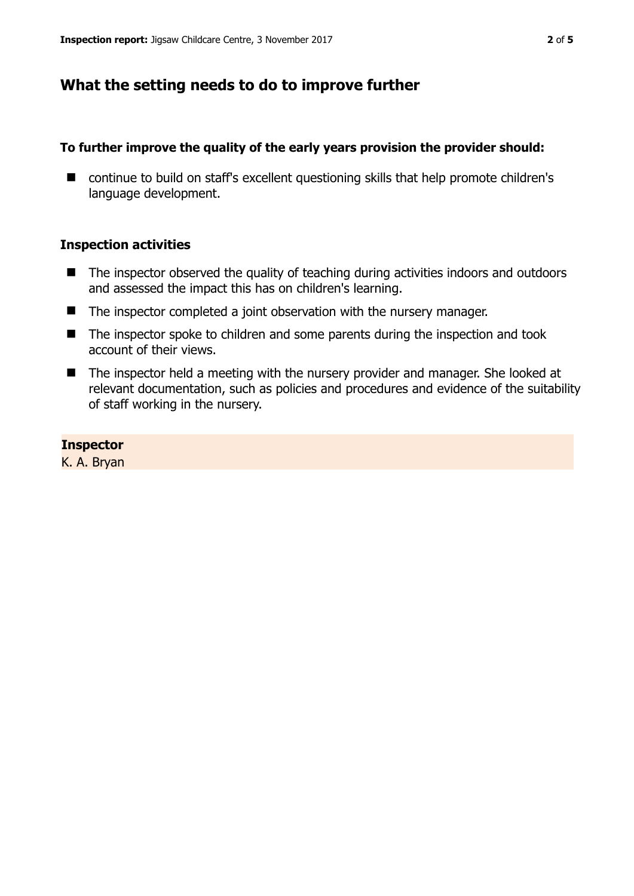# **What the setting needs to do to improve further**

## **To further improve the quality of the early years provision the provider should:**

■ continue to build on staff's excellent questioning skills that help promote children's language development.

## **Inspection activities**

- The inspector observed the quality of teaching during activities indoors and outdoors and assessed the impact this has on children's learning.
- The inspector completed a joint observation with the nursery manager.
- The inspector spoke to children and some parents during the inspection and took account of their views.
- The inspector held a meeting with the nursery provider and manager. She looked at relevant documentation, such as policies and procedures and evidence of the suitability of staff working in the nursery.

## **Inspector**

K. A. Bryan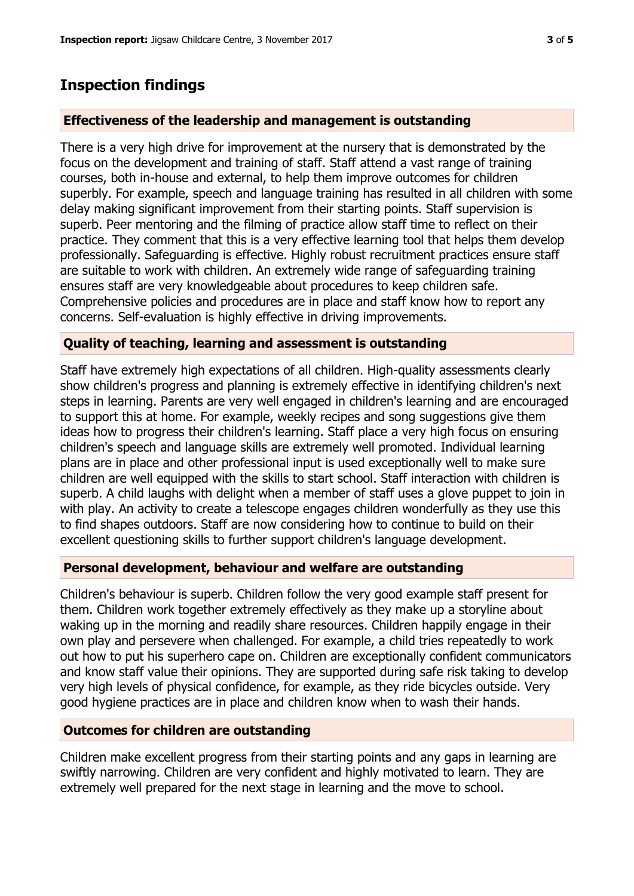## **Inspection findings**

### **Effectiveness of the leadership and management is outstanding**

There is a very high drive for improvement at the nursery that is demonstrated by the focus on the development and training of staff. Staff attend a vast range of training courses, both in-house and external, to help them improve outcomes for children superbly. For example, speech and language training has resulted in all children with some delay making significant improvement from their starting points. Staff supervision is superb. Peer mentoring and the filming of practice allow staff time to reflect on their practice. They comment that this is a very effective learning tool that helps them develop professionally. Safeguarding is effective. Highly robust recruitment practices ensure staff are suitable to work with children. An extremely wide range of safeguarding training ensures staff are very knowledgeable about procedures to keep children safe. Comprehensive policies and procedures are in place and staff know how to report any concerns. Self-evaluation is highly effective in driving improvements.

### **Quality of teaching, learning and assessment is outstanding**

Staff have extremely high expectations of all children. High-quality assessments clearly show children's progress and planning is extremely effective in identifying children's next steps in learning. Parents are very well engaged in children's learning and are encouraged to support this at home. For example, weekly recipes and song suggestions give them ideas how to progress their children's learning. Staff place a very high focus on ensuring children's speech and language skills are extremely well promoted. Individual learning plans are in place and other professional input is used exceptionally well to make sure children are well equipped with the skills to start school. Staff interaction with children is superb. A child laughs with delight when a member of staff uses a glove puppet to join in with play. An activity to create a telescope engages children wonderfully as they use this to find shapes outdoors. Staff are now considering how to continue to build on their excellent questioning skills to further support children's language development.

### **Personal development, behaviour and welfare are outstanding**

Children's behaviour is superb. Children follow the very good example staff present for them. Children work together extremely effectively as they make up a storyline about waking up in the morning and readily share resources. Children happily engage in their own play and persevere when challenged. For example, a child tries repeatedly to work out how to put his superhero cape on. Children are exceptionally confident communicators and know staff value their opinions. They are supported during safe risk taking to develop very high levels of physical confidence, for example, as they ride bicycles outside. Very good hygiene practices are in place and children know when to wash their hands.

## **Outcomes for children are outstanding**

Children make excellent progress from their starting points and any gaps in learning are swiftly narrowing. Children are very confident and highly motivated to learn. They are extremely well prepared for the next stage in learning and the move to school.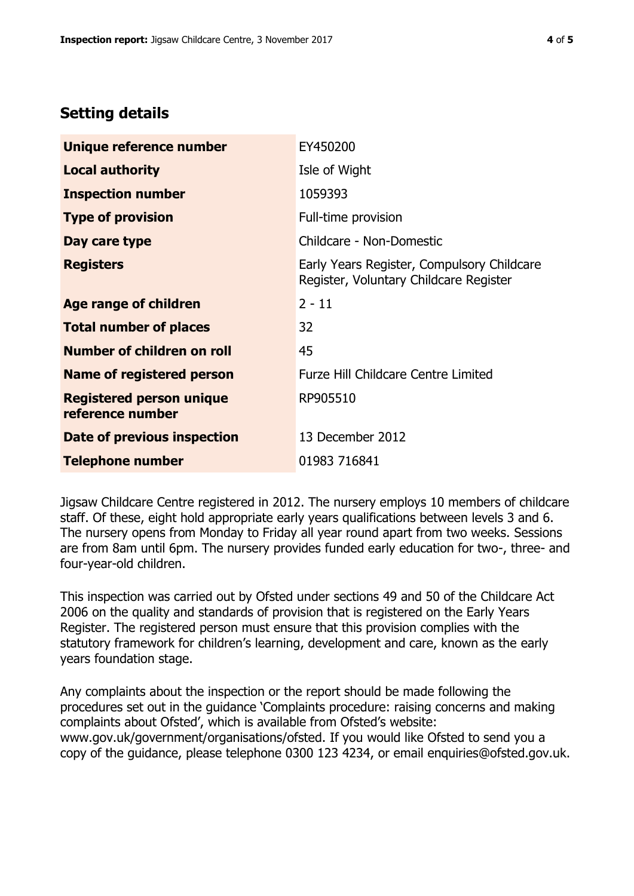# **Setting details**

| Unique reference number                             | EY450200                                                                             |  |
|-----------------------------------------------------|--------------------------------------------------------------------------------------|--|
| <b>Local authority</b>                              | Isle of Wight                                                                        |  |
| <b>Inspection number</b>                            | 1059393                                                                              |  |
| <b>Type of provision</b>                            | Full-time provision                                                                  |  |
| Day care type                                       | Childcare - Non-Domestic                                                             |  |
| <b>Registers</b>                                    | Early Years Register, Compulsory Childcare<br>Register, Voluntary Childcare Register |  |
| Age range of children                               | $2 - 11$                                                                             |  |
| <b>Total number of places</b>                       | 32                                                                                   |  |
| Number of children on roll                          | 45                                                                                   |  |
| Name of registered person                           | <b>Furze Hill Childcare Centre Limited</b>                                           |  |
| <b>Registered person unique</b><br>reference number | RP905510                                                                             |  |
| <b>Date of previous inspection</b>                  | 13 December 2012                                                                     |  |
| <b>Telephone number</b>                             | 01983 716841                                                                         |  |

Jigsaw Childcare Centre registered in 2012. The nursery employs 10 members of childcare staff. Of these, eight hold appropriate early years qualifications between levels 3 and 6. The nursery opens from Monday to Friday all year round apart from two weeks. Sessions are from 8am until 6pm. The nursery provides funded early education for two-, three- and four-year-old children.

This inspection was carried out by Ofsted under sections 49 and 50 of the Childcare Act 2006 on the quality and standards of provision that is registered on the Early Years Register. The registered person must ensure that this provision complies with the statutory framework for children's learning, development and care, known as the early years foundation stage.

Any complaints about the inspection or the report should be made following the procedures set out in the guidance 'Complaints procedure: raising concerns and making complaints about Ofsted', which is available from Ofsted's website: www.gov.uk/government/organisations/ofsted. If you would like Ofsted to send you a copy of the guidance, please telephone 0300 123 4234, or email enquiries@ofsted.gov.uk.